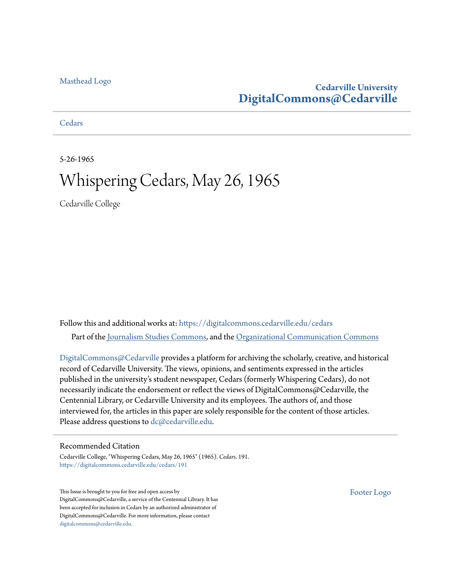### [Masthead Logo](http://www.cedarville.edu/?utm_source=digitalcommons.cedarville.edu%2Fcedars%2F191&utm_medium=PDF&utm_campaign=PDFCoverPages)

### **Cedarville University [DigitalCommons@Cedarville](https://digitalcommons.cedarville.edu?utm_source=digitalcommons.cedarville.edu%2Fcedars%2F191&utm_medium=PDF&utm_campaign=PDFCoverPages)**

**[Cedars](https://digitalcommons.cedarville.edu/cedars?utm_source=digitalcommons.cedarville.edu%2Fcedars%2F191&utm_medium=PDF&utm_campaign=PDFCoverPages)** 

5-26-1965

# Whispering Cedars, May 26, 1965

Cedarville College

Follow this and additional works at: [https://digitalcommons.cedarville.edu/cedars](https://digitalcommons.cedarville.edu/cedars?utm_source=digitalcommons.cedarville.edu%2Fcedars%2F191&utm_medium=PDF&utm_campaign=PDFCoverPages) Part of the [Journalism Studies Commons](http://network.bepress.com/hgg/discipline/333?utm_source=digitalcommons.cedarville.edu%2Fcedars%2F191&utm_medium=PDF&utm_campaign=PDFCoverPages), and the [Organizational Communication Commons](http://network.bepress.com/hgg/discipline/335?utm_source=digitalcommons.cedarville.edu%2Fcedars%2F191&utm_medium=PDF&utm_campaign=PDFCoverPages)

[DigitalCommons@Cedarville](http://digitalcommons.cedarville.edu/) provides a platform for archiving the scholarly, creative, and historical record of Cedarville University. The views, opinions, and sentiments expressed in the articles published in the university's student newspaper, Cedars (formerly Whispering Cedars), do not necessarily indicate the endorsement or reflect the views of DigitalCommons@Cedarville, the Centennial Library, or Cedarville University and its employees. The authors of, and those interviewed for, the articles in this paper are solely responsible for the content of those articles. Please address questions to [dc@cedarville.edu.](mailto:dc@cedarville.edu)

#### Recommended Citation

Cedarville College, "Whispering Cedars, May 26, 1965" (1965). *Cedars*. 191. [https://digitalcommons.cedarville.edu/cedars/191](https://digitalcommons.cedarville.edu/cedars/191?utm_source=digitalcommons.cedarville.edu%2Fcedars%2F191&utm_medium=PDF&utm_campaign=PDFCoverPages)

This Issue is brought to you for free and open access by DigitalCommons@Cedarville, a service of the Centennial Library. It has been accepted for inclusion in Cedars by an authorized administrator of DigitalCommons@Cedarville. For more information, please contact [digitalcommons@cedarville.edu](mailto:digitalcommons@cedarville.edu).

[Footer Logo](http://www.cedarville.edu/Academics/Library.aspx?utm_source=digitalcommons.cedarville.edu%2Fcedars%2F191&utm_medium=PDF&utm_campaign=PDFCoverPages)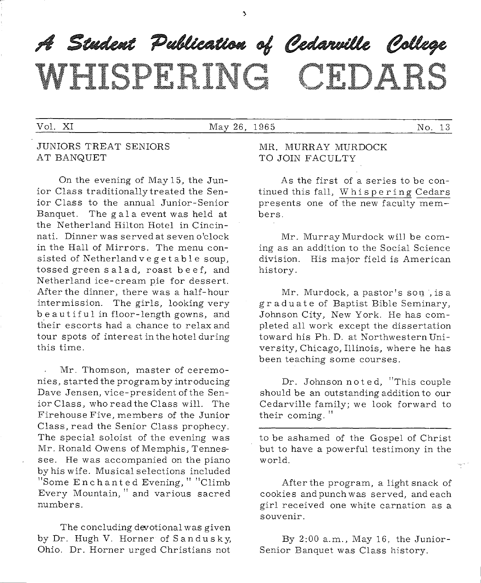# A Student Publication of Cedarville College WHISPERING CEDARS

#### Vol. XI May 26, 1965 No. 13

#### JUNIORS TREAT SENIORS AT BANQUET

On the evening of May 15, the Junior Class traditionallytreated the Senior Class to the annual Junior-Senior Banquet. The g ala event was held at the Netherland Hilton Hotel in Cincinnati. Dinner was served at seven o'clock in the Hall of Mirrors. The menu consisted of Netherland veget able soup, tossed green salad, roast beef, and Netherland ice-cream pie for dessert. After the dinner, there was a half-hour intermission. The girls, looking very be autiful in floor-length gowns, and their escorts had a chance to relax and tour spots of interest in the hotel during this time.

Mr. Thomson, master of ceremonies, started the program by introducing Dave Jensen, vice-president of the Senior Class, who read the Class will. The Firehouse Five, members of the Junior Class, read the Senior Class prophecy. The special soloist of the evening was Mr. Ronald Owens of Memphis, Tennessee. He was accompanied on the piano by his wife. Musical selections included "Some Enchanted Evening," "Climb Every Mountain," and various sacred numbers.

The concluding devotional was given by Dr. Hugh V. Horner of Sandusky, Ohio. Dr. Horner urged Christians not

MR. MURRAY MURDOCK TO JOIN FACULTY

As the first of a series to be continued this fall, Whispering Cedars presents one of the new faculty members.

Mr. Murray Murdock will be coming as an addition to the Social Science division. His major field is American history.

Mr. Murdock, <sup>a</sup>pastor's sou , is <sup>a</sup> graduate of Baptist Bible Seminary, Johnson City, New York. He has completed all work except the dissertation toward his Ph.D. at Northwestern University, Chicago, Illinois, where he has been teaching some courses.

Dr. Johnson noted, "This couple should be an outstanding addition to our Cedarville family; we look forward to their coming."

to be ashamed of the Gospel of Christ but to have <sup>a</sup>powerful testimony in the world.

After the program, a light snack of cookies and punch was served, and each girl received one white carnation as <sup>a</sup> souvenir.

By 2:00 a.m., May 16, the Junior-Senior Banquet was Class history.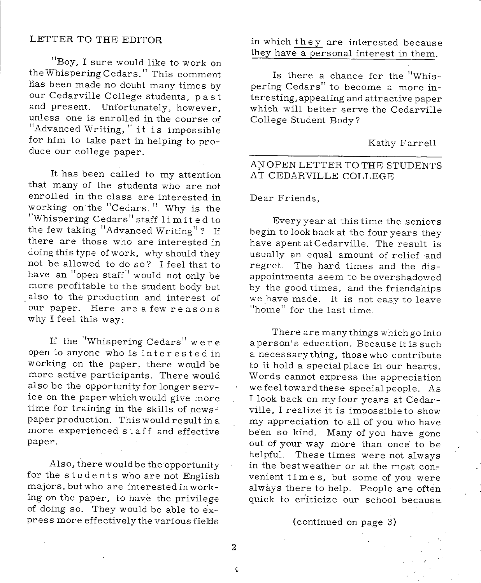#### LETTER TO THE EDITOR

"Boy, I sure would like to work on the Whispering Cedars." This comment has been made no doubt many times by our Cedarville College students, past and present. Unfortunately, however, unless one is enrolled in the course of "Advanced Writing," it is impossible for him to take part in helping to produce our college paper.

It has been called to my attention that many of the students who are not enrolled in the class are interested in working on the "Cedars." Why is the "Whispering Cedars" staff limited to the few taking "Advanced Writing"? If there are those who are interested in doing this type of work, why should they not be allowed to do so? I feel that to have an "open staff" would not only be more profitable to the student body but also to the production and interest of our paper. Here are a few reasons why I feel this way:

If the "Whispering Cedars" were open to anyone who is interested in working on the paper, there would be more active participants. There would also be the opportunity for longer service on the paper which would give more time for training in the skills of news-' paper production. This would result in <sup>a</sup> more experienced s t a ff and effective paper.

Also, there would be the opportunity for the students who are not English majors, but who are interested in working on the paper, to have the privilege of doing so. They would be able to express more effectively the various fields in which they are interested because they have a personal interest in them.

Is there a chance for the "Whispering Cedars" to become a more interesting,appealing and attractive paper which will better serve the Cedarville College Student Body?

Kathy Farrell

#### AN OPEN LETTER TO THE STUDENTS AT CEDARVILLE COLLEGE

Dear Friends,

Every year at this time the seniors begin to look back at the four years they have spent at Cedarville. The result is usually an equal amount of relief and regret. The hard times and the disappointments seem to be overshadowed by the good times, and the friendships we have made. It is not easy to leave "home" for the last time.

There are many things which go into <sup>a</sup>person's education. Because it is such <sup>a</sup>necessarything, thosewho contribute to it hold a special place in our hearts. Words cannot express the appreciation we feel toward these special people. As <sup>I</sup>look back on my four years at Cedarville, I realize it is impossible to show my appreciation to all of you who have been so kind. Many of you have gone out of your way more than once to be helpful. These times were not always in the best weather or at the most convenient times, but some of you were always there to help. People are often quick to criticize our school because.

(continued on page 3)

2

 $\zeta$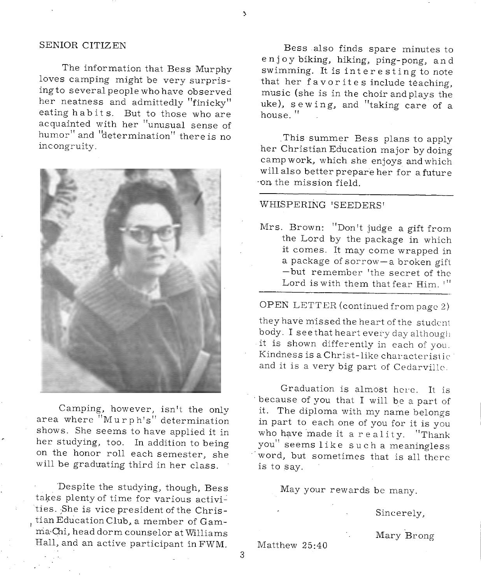#### SENIOR CITIZEN

The information that Bess Murphy loves camping might be very surprising to several people who have observed her neatness and admittedly "finicky" eating habits. But to those who are acquainted with her "unusual sense of humor" and "determination" there is no incongruity.



Camping, however, isn't the only area where "Murph's" determination shows. She seems to have applied it in her studying, too. In addition to being on the honor roll each semester, she will be graduating third in her class.

Despite the studying, though, Bess takes plenty of time for various activities. She is vice president of the Christian Education Club, a member of Gamma Chi, head dorm counselor at Williams Hall, and an active participant in FWM.

Bess also finds spare minutes to enjoy biking, hiking, ping-pong, and swimming. It is interesting to note that her favorites include teaching, music (she is in the choir and plays the uke), sewing, and "taking care of <sup>a</sup> house."

. This summer Bess plans to apply her Christian Education major by doing camp work, which she enjoys and which will also better prepare her for a future ·on. the mission field.

#### WHISPERING 'SEEDERS'

Mrs. Brown: "Don't judge <sup>a</sup>gift from the Lord by the package in which it comes. It may come wrapped in a package of sorrow-a broken gift -but remember 'the secret of the Lord is with them that fear Him. '"

OPEN LETTER (continued from page 2)

they have missed the heart of the student body. I see that heart every day although it is shown differently in each of you. Kindness is a Christ-like characteristic and it is <sup>a</sup>very big part of Cedarville.

Graduation is almost here. It is because of you that I will be a part of it. The diploma with my name belongs in part to each one of you for it is you who have made it a reality. "Thank you" seems like such a meaningless word, but sometimes that is all there is to say.

May your rewards be many.

Sincerely,

Mary Brong

Matthew 25:40

3